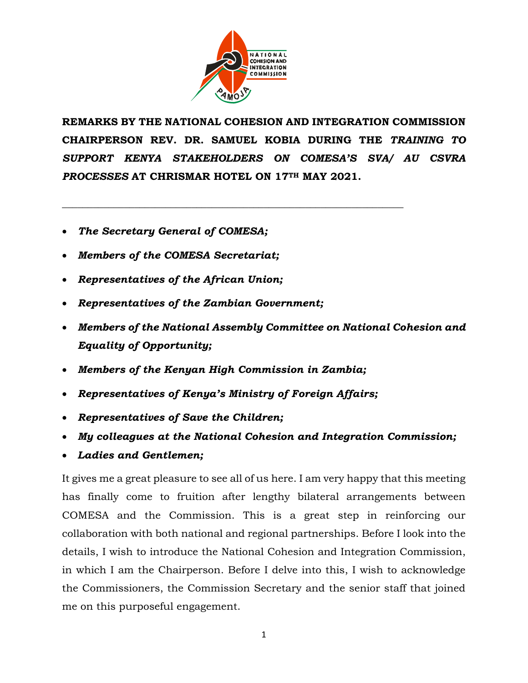

\_\_\_\_\_\_\_\_\_\_\_\_\_\_\_\_\_\_\_\_\_\_\_\_\_\_\_\_\_\_\_\_\_\_\_\_\_\_\_\_\_\_\_\_\_\_\_\_\_\_\_\_\_\_\_\_\_\_\_\_\_\_\_\_\_\_

**REMARKS BY THE NATIONAL COHESION AND INTEGRATION COMMISSION CHAIRPERSON REV. DR. SAMUEL KOBIA DURING THE** *TRAINING TO SUPPORT KENYA STAKEHOLDERS ON COMESA'S SVA/ AU CSVRA PROCESSES* **AT CHRISMAR HOTEL ON 17TH MAY 2021.** 

- *The Secretary General of COMESA;*
- *Members of the COMESA Secretariat;*
- *Representatives of the African Union;*
- *Representatives of the Zambian Government;*
- *Members of the National Assembly Committee on National Cohesion and Equality of Opportunity;*
- *Members of the Kenyan High Commission in Zambia;*
- *Representatives of Kenya's Ministry of Foreign Affairs;*
- *Representatives of Save the Children;*
- *My colleagues at the National Cohesion and Integration Commission;*
- *Ladies and Gentlemen;*

It gives me a great pleasure to see all of us here. I am very happy that this meeting has finally come to fruition after lengthy bilateral arrangements between COMESA and the Commission. This is a great step in reinforcing our collaboration with both national and regional partnerships. Before I look into the details, I wish to introduce the National Cohesion and Integration Commission, in which I am the Chairperson. Before I delve into this, I wish to acknowledge the Commissioners, the Commission Secretary and the senior staff that joined me on this purposeful engagement.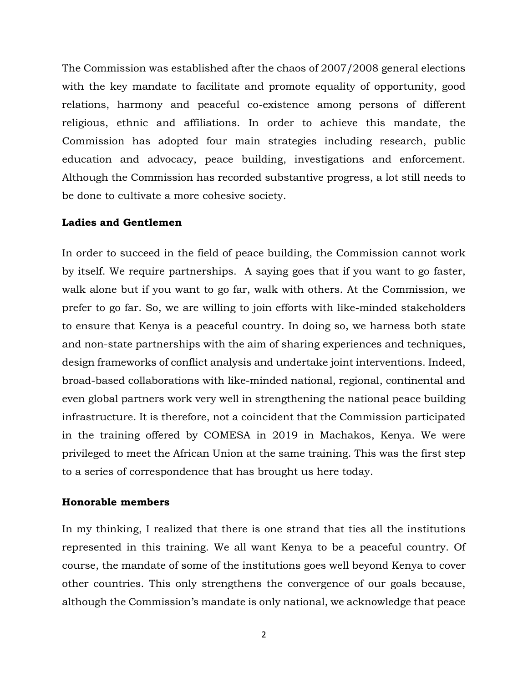The Commission was established after the chaos of 2007/2008 general elections with the key mandate to facilitate and promote equality of opportunity, good relations, harmony and peaceful co-existence among persons of different religious, ethnic and affiliations. In order to achieve this mandate, the Commission has adopted four main strategies including research, public education and advocacy, peace building, investigations and enforcement. Although the Commission has recorded substantive progress, a lot still needs to be done to cultivate a more cohesive society.

#### **Ladies and Gentlemen**

In order to succeed in the field of peace building, the Commission cannot work by itself. We require partnerships. A saying goes that if you want to go faster, walk alone but if you want to go far, walk with others. At the Commission, we prefer to go far. So, we are willing to join efforts with like-minded stakeholders to ensure that Kenya is a peaceful country. In doing so, we harness both state and non-state partnerships with the aim of sharing experiences and techniques, design frameworks of conflict analysis and undertake joint interventions. Indeed, broad-based collaborations with like-minded national, regional, continental and even global partners work very well in strengthening the national peace building infrastructure. It is therefore, not a coincident that the Commission participated in the training offered by COMESA in 2019 in Machakos, Kenya. We were privileged to meet the African Union at the same training. This was the first step to a series of correspondence that has brought us here today.

#### **Honorable members**

In my thinking, I realized that there is one strand that ties all the institutions represented in this training. We all want Kenya to be a peaceful country. Of course, the mandate of some of the institutions goes well beyond Kenya to cover other countries. This only strengthens the convergence of our goals because, although the Commission's mandate is only national, we acknowledge that peace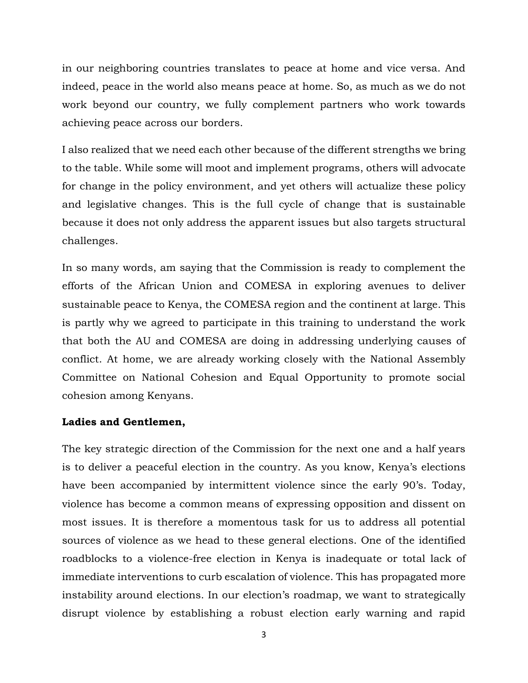in our neighboring countries translates to peace at home and vice versa. And indeed, peace in the world also means peace at home. So, as much as we do not work beyond our country, we fully complement partners who work towards achieving peace across our borders.

I also realized that we need each other because of the different strengths we bring to the table. While some will moot and implement programs, others will advocate for change in the policy environment, and yet others will actualize these policy and legislative changes. This is the full cycle of change that is sustainable because it does not only address the apparent issues but also targets structural challenges.

In so many words, am saying that the Commission is ready to complement the efforts of the African Union and COMESA in exploring avenues to deliver sustainable peace to Kenya, the COMESA region and the continent at large. This is partly why we agreed to participate in this training to understand the work that both the AU and COMESA are doing in addressing underlying causes of conflict. At home, we are already working closely with the National Assembly Committee on National Cohesion and Equal Opportunity to promote social cohesion among Kenyans.

#### **Ladies and Gentlemen,**

The key strategic direction of the Commission for the next one and a half years is to deliver a peaceful election in the country. As you know, Kenya's elections have been accompanied by intermittent violence since the early 90's. Today, violence has become a common means of expressing opposition and dissent on most issues. It is therefore a momentous task for us to address all potential sources of violence as we head to these general elections. One of the identified roadblocks to a violence-free election in Kenya is inadequate or total lack of immediate interventions to curb escalation of violence. This has propagated more instability around elections. In our election's roadmap, we want to strategically disrupt violence by establishing a robust election early warning and rapid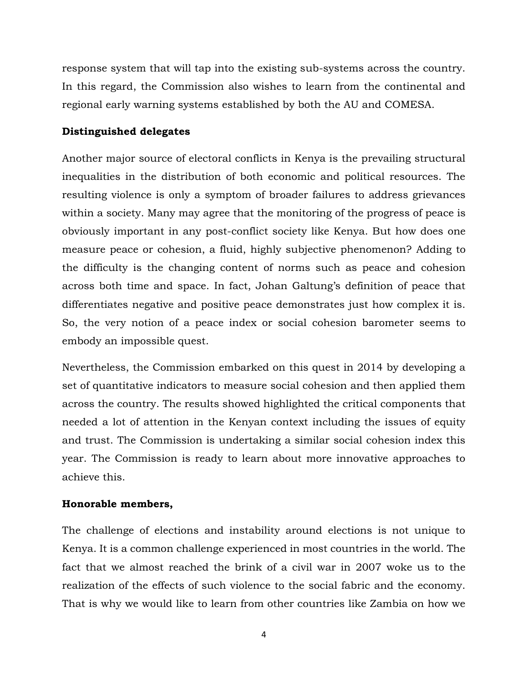response system that will tap into the existing sub-systems across the country. In this regard, the Commission also wishes to learn from the continental and regional early warning systems established by both the AU and COMESA.

## **Distinguished delegates**

Another major source of electoral conflicts in Kenya is the prevailing structural inequalities in the distribution of both economic and political resources. The resulting violence is only a symptom of broader failures to address grievances within a society. Many may agree that the monitoring of the progress of peace is obviously important in any post-conflict society like Kenya. But how does one measure peace or cohesion, a fluid, highly subjective phenomenon? Adding to the difficulty is the changing content of norms such as peace and cohesion across both time and space. In fact, Johan Galtung's definition of peace that differentiates negative and positive peace demonstrates just how complex it is. So, the very notion of a peace index or social cohesion barometer seems to embody an impossible quest.

Nevertheless, the Commission embarked on this quest in 2014 by developing a set of quantitative indicators to measure social cohesion and then applied them across the country. The results showed highlighted the critical components that needed a lot of attention in the Kenyan context including the issues of equity and trust. The Commission is undertaking a similar social cohesion index this year. The Commission is ready to learn about more innovative approaches to achieve this.

# **Honorable members,**

The challenge of elections and instability around elections is not unique to Kenya. It is a common challenge experienced in most countries in the world. The fact that we almost reached the brink of a civil war in 2007 woke us to the realization of the effects of such violence to the social fabric and the economy. That is why we would like to learn from other countries like Zambia on how we